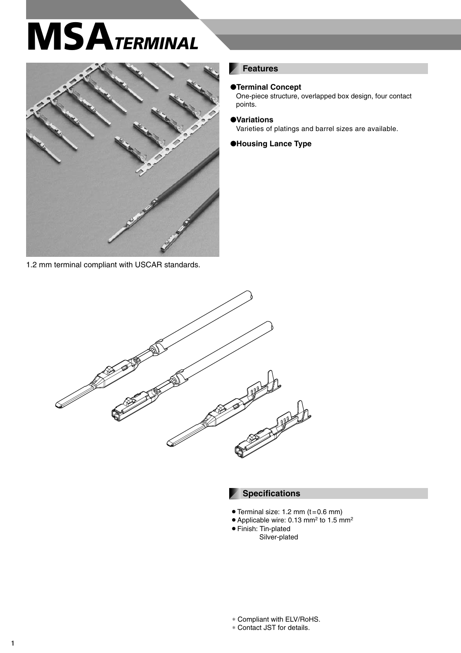# **MSA***TERMINAL*



1.2 mm terminal compliant with USCAR standards.

#### **Features**

#### ●**Terminal Concept**

One-piece structure, overlapped box design, four contact points.

●**Variations**

Varieties of platings and barrel sizes are available.

●**Housing Lance Type**



#### **Specifications**

- $\bullet$  Terminal size: 1.2 mm (t=0.6 mm)
- Applicable wire: 0.13 mm<sup>2</sup> to 1.5 mm<sup>2</sup>
- Finish: Tin-plated Silver-plated

∗ Contact JST for details.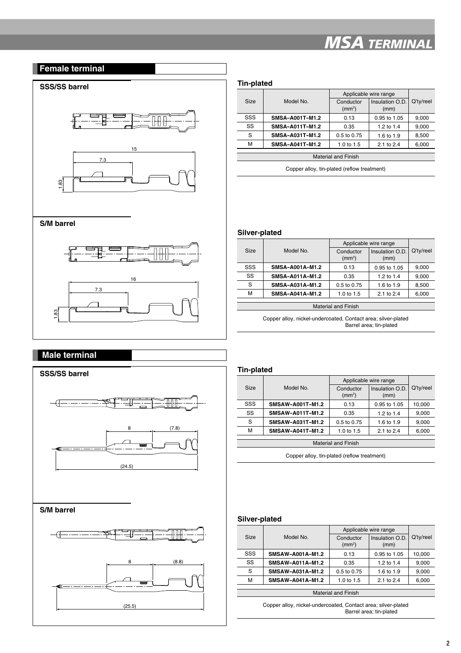# *MSA TERMINAL*

## **Female terminal**

# **SSS/SS barrel Tin-plated**





#### **S/M barrel**





### **Male terminal**



| Size                                        | Model No.              | Applicable wire range           |                         |           |
|---------------------------------------------|------------------------|---------------------------------|-------------------------|-----------|
|                                             |                        | Conductor<br>(mm <sup>2</sup> ) | Insulation O.D.<br>(mm) | Q'ty/reel |
| SSS                                         | <b>SMSA-A001T-M1.2</b> | 0.13                            | 0.95 to 1.05            | 9,000     |
| SS                                          | <b>SMSA-A011T-M1.2</b> | 0.35                            | 1.2 to $1.4$            | 9,000     |
| S                                           | SMSA-A031T-M1.2        | $0.5$ to $0.75$                 | 1.6 to 1.9              | 8,500     |
| М                                           | SMSA-A041T-M1.2        | 1.0 to 1.5                      | 2.1 to 2.4              | 6,000     |
| <b>Material and Finish</b>                  |                        |                                 |                         |           |
| Copper alloy, tin-plated (reflow treatment) |                        |                                 |                         |           |

**Silver-plated**

|                            |                 | Applicable wire range           |                         |           |
|----------------------------|-----------------|---------------------------------|-------------------------|-----------|
| <b>Size</b>                | Model No.       | Conductor<br>(mm <sup>2</sup> ) | Insulation O.D.<br>(mm) | Q'ty/reel |
| SSS                        | SMSA-A001A-M1.2 | 0.13                            | 0.95 to 1.05            | 9,000     |
| SS                         | SMSA-A011A-M1.2 | 0.35                            | 1.2 to 1.4              | 9,000     |
| S                          | SMSA-A031A-M1.2 | 0.5 to 0.75                     | 1.6 to 1.9              | 8,500     |
| М                          | SMSA-A041A-M1.2 | 1.0 to 1.5                      | 2.1 to 2.4              | 6,000     |
|                            |                 |                                 |                         |           |
| <b>Material and Finish</b> |                 |                                 |                         |           |
|                            |                 |                                 |                         |           |

Copper alloy, nickel-undercoated, Contact area; silver-plated Barrel area; tin-plated

#### **Tin-plated**

|                            |                         | Applicable wire range           |                         |           |
|----------------------------|-------------------------|---------------------------------|-------------------------|-----------|
| Size                       | Model No.               | Conductor<br>(mm <sup>2</sup> ) | Insulation O.D.<br>(mm) | Q'ty/reel |
|                            |                         |                                 |                         |           |
| SSS                        | SMSAW-A001T-M1.2        | 0.13                            | 0.95 to 1.05            | 10,000    |
| SS                         | SMSAW-A011T-M1.2        | 0.35                            | 1.2 to 1.4              | 9,000     |
| S                          | <b>SMSAW-A031T-M1.2</b> | 0.5 to 0.75                     | 1.6 to 1.9              | 9,000     |
| M                          | SMSAW-A041T-M1.2        | 1.0 to 1.5                      | 2.1 to 2.4              | 6,000     |
|                            |                         |                                 |                         |           |
| <b>Material and Finish</b> |                         |                                 |                         |           |

Copper alloy, tin-plated (reflow treatment)

#### **Silver-plated**

|                            |                         | Applicable wire range           |                         |           |
|----------------------------|-------------------------|---------------------------------|-------------------------|-----------|
| Size                       | Model No.               | Conductor<br>(mm <sup>2</sup> ) | Insulation O.D.<br>(mm) | Q'ty/reel |
|                            |                         |                                 |                         |           |
| SSS                        | <b>SMSAW-A001A-M1.2</b> | 0.13                            | 0.95 to 1.05            | 10.000    |
| SS                         | SMSAW-A011A-M1.2        | 0.35                            | 1.2 to $1.4$            | 9,000     |
| S                          | SMSAW-A031A-M1.2        | $0.5$ to $0.75$                 | 1.6 to 1.9              | 9,000     |
| м                          | <b>SMSAW-A041A-M1.2</b> | 1.0 to 1.5                      | 2.1 to $2.4$            | 6,000     |
|                            |                         |                                 |                         |           |
| <b>Material and Finish</b> |                         |                                 |                         |           |

Copper alloy, nickel-undercoated, Contact area; silver-plated Barrel area; tin-plated